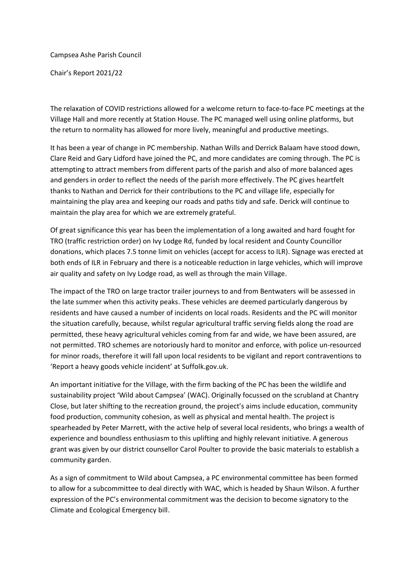Campsea Ashe Parish Council

Chair's Report 2021/22

The relaxation of COVID restrictions allowed for a welcome return to face-to-face PC meetings at the Village Hall and more recently at Station House. The PC managed well using online platforms, but the return to normality has allowed for more lively, meaningful and productive meetings.

It has been a year of change in PC membership. Nathan Wills and Derrick Balaam have stood down, Clare Reid and Gary Lidford have joined the PC, and more candidates are coming through. The PC is attempting to attract members from different parts of the parish and also of more balanced ages and genders in order to reflect the needs of the parish more effectively. The PC gives heartfelt thanks to Nathan and Derrick for their contributions to the PC and village life, especially for maintaining the play area and keeping our roads and paths tidy and safe. Derick will continue to maintain the play area for which we are extremely grateful.

Of great significance this year has been the implementation of a long awaited and hard fought for TRO (traffic restriction order) on Ivy Lodge Rd, funded by local resident and County Councillor donations, which places 7.5 tonne limit on vehicles (accept for access to ILR). Signage was erected at both ends of ILR in February and there is a noticeable reduction in large vehicles, which will improve air quality and safety on Ivy Lodge road, as well as through the main Village.

The impact of the TRO on large tractor trailer journeys to and from Bentwaters will be assessed in the late summer when this activity peaks. These vehicles are deemed particularly dangerous by residents and have caused a number of incidents on local roads. Residents and the PC will monitor the situation carefully, because, whilst regular agricultural traffic serving fields along the road are permitted, these heavy agricultural vehicles coming from far and wide, we have been assured, are not permitted. TRO schemes are notoriously hard to monitor and enforce, with police un-resourced for minor roads, therefore it will fall upon local residents to be vigilant and report contraventions to 'Report a heavy goods vehicle incident' at Suffolk.gov.uk.

An important initiative for the Village, with the firm backing of the PC has been the wildlife and sustainability project 'Wild about Campsea' (WAC). Originally focussed on the scrubland at Chantry Close, but later shifting to the recreation ground, the project's aims include education, community food production, community cohesion, as well as physical and mental health. The project is spearheaded by Peter Marrett, with the active help of several local residents, who brings a wealth of experience and boundless enthusiasm to this uplifting and highly relevant initiative. A generous grant was given by our district counsellor Carol Poulter to provide the basic materials to establish a community garden.

As a sign of commitment to Wild about Campsea, a PC environmental committee has been formed to allow for a subcommittee to deal directly with WAC, which is headed by Shaun Wilson. A further expression of the PC's environmental commitment was the decision to become signatory to the Climate and Ecological Emergency bill.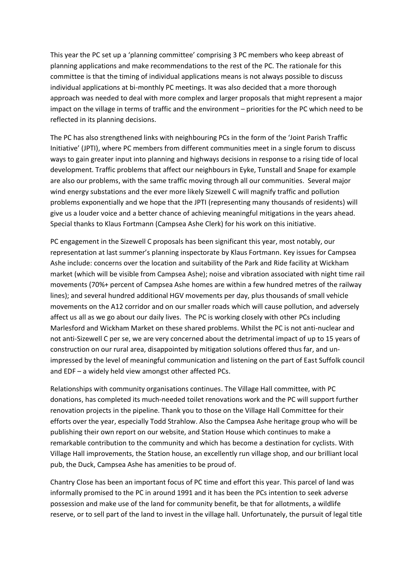This year the PC set up a 'planning committee' comprising 3 PC members who keep abreast of planning applications and make recommendations to the rest of the PC. The rationale for this committee is that the timing of individual applications means is not always possible to discuss individual applications at bi-monthly PC meetings. It was also decided that a more thorough approach was needed to deal with more complex and larger proposals that might represent a major impact on the village in terms of traffic and the environment – priorities for the PC which need to be reflected in its planning decisions.

The PC has also strengthened links with neighbouring PCs in the form of the 'Joint Parish Traffic Initiative' (JPTI), where PC members from different communities meet in a single forum to discuss ways to gain greater input into planning and highways decisions in response to a rising tide of local development. Traffic problems that affect our neighbours in Eyke, Tunstall and Snape for example are also our problems, with the same traffic moving through all our communities. Several major wind energy substations and the ever more likely Sizewell C will magnify traffic and pollution problems exponentially and we hope that the JPTI (representing many thousands of residents) will give us a louder voice and a better chance of achieving meaningful mitigations in the years ahead. Special thanks to Klaus Fortmann (Campsea Ashe Clerk) for his work on this initiative.

PC engagement in the Sizewell C proposals has been significant this year, most notably, our representation at last summer's planning inspectorate by Klaus Fortmann. Key issues for Campsea Ashe include: concerns over the location and suitability of the Park and Ride facility at Wickham market (which will be visible from Campsea Ashe); noise and vibration associated with night time rail movements (70%+ percent of Campsea Ashe homes are within a few hundred metres of the railway lines); and several hundred additional HGV movements per day, plus thousands of small vehicle movements on the A12 corridor and on our smaller roads which will cause pollution, and adversely affect us all as we go about our daily lives. The PC is working closely with other PCs including Marlesford and Wickham Market on these shared problems. Whilst the PC is not anti-nuclear and not anti-Sizewell C per se, we are very concerned about the detrimental impact of up to 15 years of construction on our rural area, disappointed by mitigation solutions offered thus far, and unimpressed by the level of meaningful communication and listening on the part of East Suffolk council and EDF – a widely held view amongst other affected PCs.

Relationships with community organisations continues. The Village Hall committee, with PC donations, has completed its much-needed toilet renovations work and the PC will support further renovation projects in the pipeline. Thank you to those on the Village Hall Committee for their efforts over the year, especially Todd Strahlow. Also the Campsea Ashe heritage group who will be publishing their own report on our website, and Station House which continues to make a remarkable contribution to the community and which has become a destination for cyclists. With Village Hall improvements, the Station house, an excellently run village shop, and our brilliant local pub, the Duck, Campsea Ashe has amenities to be proud of.

Chantry Close has been an important focus of PC time and effort this year. This parcel of land was informally promised to the PC in around 1991 and it has been the PCs intention to seek adverse possession and make use of the land for community benefit, be that for allotments, a wildlife reserve, or to sell part of the land to invest in the village hall. Unfortunately, the pursuit of legal title